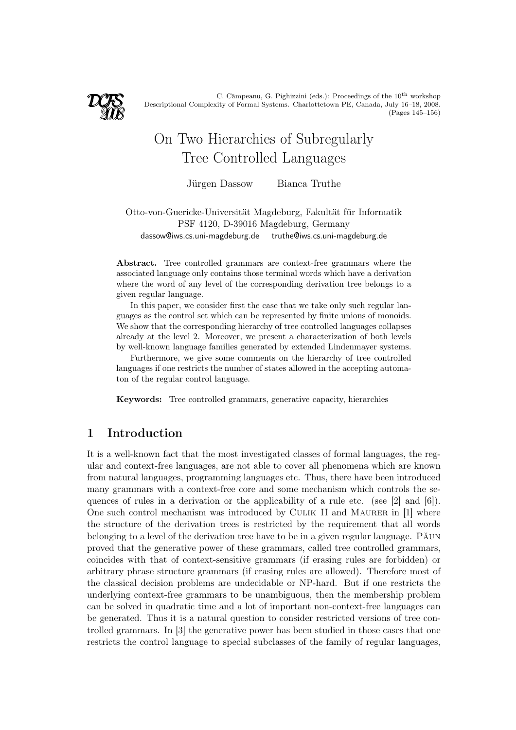

C. Câmpeanu, G. Pighizzini (eds.): Proceedings of the  $10^{\rm th}$  workshop Descriptional Complexity of Formal Systems. Charlottetown PE, Canada, July 16–18, 2008. (Pages 145–156)

# On Two Hierarchies of Subregularly Tree Controlled Languages

Jürgen Dassow Bianca Truthe

Otto-von-Guericke-Universität Magdeburg, Fakultät für Informatik PSF 4120, D-39016 Magdeburg, Germany dassow@iws.cs.uni-magdeburg.de truthe@iws.cs.uni-magdeburg.de

Abstract. Tree controlled grammars are context-free grammars where the associated language only contains those terminal words which have a derivation where the word of any level of the corresponding derivation tree belongs to a given regular language.

In this paper, we consider first the case that we take only such regular languages as the control set which can be represented by finite unions of monoids. We show that the corresponding hierarchy of tree controlled languages collapses already at the level 2. Moreover, we present a characterization of both levels by well-known language families generated by extended Lindenmayer systems.

Furthermore, we give some comments on the hierarchy of tree controlled languages if one restricts the number of states allowed in the accepting automaton of the regular control language.

Keywords: Tree controlled grammars, generative capacity, hierarchies

# 1 Introduction

It is a well-known fact that the most investigated classes of formal languages, the regular and context-free languages, are not able to cover all phenomena which are known from natural languages, programming languages etc. Thus, there have been introduced many grammars with a context-free core and some mechanism which controls the sequences of rules in a derivation or the applicability of a rule etc. (see [2] and [6]). One such control mechanism was introduced by CULIK II and MAURER in [1] where the structure of the derivation trees is restricted by the requirement that all words belonging to a level of the derivation tree have to be in a given regular language. Păun proved that the generative power of these grammars, called tree controlled grammars, coincides with that of context-sensitive grammars (if erasing rules are forbidden) or arbitrary phrase structure grammars (if erasing rules are allowed). Therefore most of the classical decision problems are undecidable or NP-hard. But if one restricts the underlying context-free grammars to be unambiguous, then the membership problem can be solved in quadratic time and a lot of important non-context-free languages can be generated. Thus it is a natural question to consider restricted versions of tree controlled grammars. In [3] the generative power has been studied in those cases that one restricts the control language to special subclasses of the family of regular languages,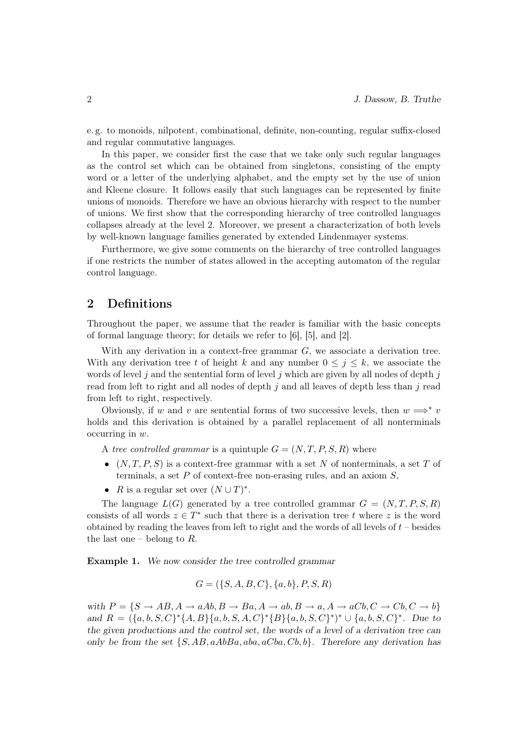e. g. to monoids, nilpotent, combinational, definite, non-counting, regular suffix-closed and regular commutative languages.

In this paper, we consider first the case that we take only such regular languages as the control set which can be obtained from singletons, consisting of the empty word or a letter of the underlying alphabet, and the empty set by the use of union and Kleene closure. It follows easily that such languages can be represented by finite unions of monoids. Therefore we have an obvious hierarchy with respect to the number of unions. We first show that the corresponding hierarchy of tree controlled languages collapses already at the level 2. Moreover, we present a characterization of both levels by well-known language families generated by extended Lindenmayer systems.

Furthermore, we give some comments on the hierarchy of tree controlled languages if one restricts the number of states allowed in the accepting automaton of the regular control language.

#### 2 Definitions

Throughout the paper, we assume that the reader is familiar with the basic concepts of formal language theory; for details we refer to [6], [5], and [2].

With any derivation in a context-free grammar  $G$ , we associate a derivation tree. With any derivation tree t of height k and any number  $0 \leq j \leq k$ , we associate the words of level  $j$  and the sentential form of level  $j$  which are given by all nodes of depth  $j$ read from left to right and all nodes of depth  $i$  and all leaves of depth less than  $i$  read from left to right, respectively.

Obviously, if w and v are sentential forms of two successive levels, then  $w \implies^* v$ holds and this derivation is obtained by a parallel replacement of all nonterminals occurring in w.

A tree controlled grammar is a quintuple  $G = (N, T, P, S, R)$  where

- $(N, T, P, S)$  is a context-free grammar with a set N of nonterminals, a set T of terminals, a set  $P$  of context-free non-erasing rules, and an axiom  $S$ ,
- *R* is a regular set over  $(N \cup T)^*$ .

The language  $L(G)$  generated by a tree controlled grammar  $G = (N, T, P, S, R)$ consists of all words  $z \in T^*$  such that there is a derivation tree t where z is the word obtained by reading the leaves from left to right and the words of all levels of  $t$  – besides the last one – belong to  $R$ .

Example 1. We now consider the tree controlled grammar

$$
G = (\{S, A, B, C\}, \{a, b\}, P, S, R)
$$

with  $P = \{S \rightarrow AB, A \rightarrow aAb, B \rightarrow Ba, A \rightarrow ab, B \rightarrow a, A \rightarrow aCb, C \rightarrow Cb, C \rightarrow b\}$ and  $R = (\{a, b, S, C\}^* \{A, B\} \{a, b, S, A, C\}^* \{B\} \{a, b, S, C\}^*)^* \cup \{a, b, S, C\}^*$ . Due to the given productions and the control set, the words of a level of a derivation tree can only be from the set  $\{S, AB, aAbBa, aba, aCba, Cb, b\}$ . Therefore any derivation has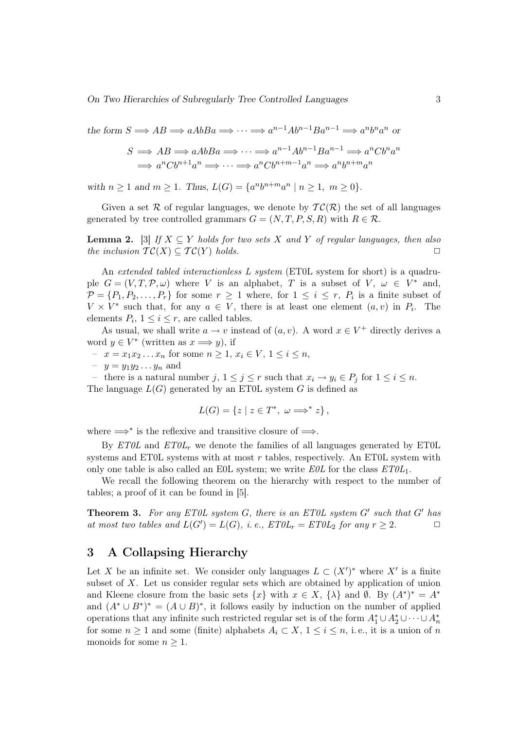the form  $S \implies AB \implies aAbBa \implies \cdots \implies a^{n-1}Ab^{n-1}Ba^{n-1} \implies a^nb^na^n$  or

$$
S \implies AB \implies aAbBa \implies \cdots \implies a^{n-1}Ab^{n-1}Ba^{n-1} \implies a^nCb^na^n
$$
  

$$
\implies a^nCb^{n+1}a^n \implies \cdots \implies a^nCb^{n+m-1}a^n \implies a^nb^{n+m}a^n
$$

with  $n \ge 1$  and  $m \ge 1$ . Thus,  $L(G) = \{a^n b^{n+m} a^n \mid n \ge 1, m \ge 0\}.$ 

Given a set R of regular languages, we denote by  $\mathcal{TC}(\mathcal{R})$  the set of all languages generated by tree controlled grammars  $G = (N, T, P, S, R)$  with  $R \in \mathcal{R}$ .

**Lemma 2.** [3] If  $X \subseteq Y$  holds for two sets X and Y of regular languages, then also the inclusion  $TC(X) \subseteq TC(Y)$  holds.

An extended tabled interactionless L system (ET0L system for short) is a quadruple  $G = (V, T, P, \omega)$  where V is an alphabet, T is a subset of V,  $\omega \in V^*$  and,  $\mathcal{P} = \{P_1, P_2, \ldots, P_r\}$  for some  $r \geq 1$  where, for  $1 \leq i \leq r$ ,  $P_i$  is a finite subset of  $V \times V^*$  such that, for any  $a \in V$ , there is at least one element  $(a, v)$  in  $P_i$ . The elements  $P_i$ ,  $1 \leq i \leq r$ , are called tables.

As usual, we shall write  $a \to v$  instead of  $(a, v)$ . A word  $x \in V^+$  directly derives a word  $y \in V^*$  (written as  $x \Longrightarrow y$ ), if

- $x = x_1 x_2 ... x_n$  for some  $n ≥ 1, x_i ∈ V, 1 ≤ i ≤ n$ ,
- $-y = y_1 y_2 \dots y_n$  and

– there is a natural number j,  $1 \leq j \leq r$  such that  $x_i \to y_i \in P_j$  for  $1 \leq i \leq n$ . The language  $L(G)$  generated by an ET0L system G is defined as

$$
L(G) = \{ z \mid z \in T^*, \ \omega \Longrightarrow^* z \},
$$

where  $\Longrightarrow^*$  is the reflexive and transitive closure of  $\Longrightarrow$ .

By  $ET0L$  and  $ET0L<sub>r</sub>$  we denote the families of all languages generated by ET0L systems and ET0L systems with at most  $r$  tables, respectively. An ET0L system with only one table is also called an E0L system; we write  $E0L$  for the class  $ET0L_1$ .

We recall the following theorem on the hierarchy with respect to the number of tables; a proof of it can be found in [5].

**Theorem 3.** For any ETOL system  $G$ , there is an ETOL system  $G'$  such that  $G'$  has at most two tables and  $L(G') = L(G)$ , i.e.,  $ET0L_r = ET0L_2$  for any  $r \geq 2$ .

## 3 A Collapsing Hierarchy

Let X be an infinite set. We consider only languages  $L \subset (X')^*$  where  $X'$  is a finite subset of X. Let us consider regular sets which are obtained by application of union and Kleene closure from the basic sets  $\{x\}$  with  $x \in X$ ,  $\{\lambda\}$  and  $\emptyset$ . By  $(A^*)^* = A^*$ and  $(A^* \cup B^*)^* = (A \cup B)^*$ , it follows easily by induction on the number of applied operations that any infinite such restricted regular set is of the form  $A_1^* \cup A_2^* \cup \cdots \cup A_n^*$ for some  $n \geq 1$  and some (finite) alphabets  $A_i \subset X$ ,  $1 \leq i \leq n$ , i.e., it is a union of n monoids for some  $n \geq 1$ .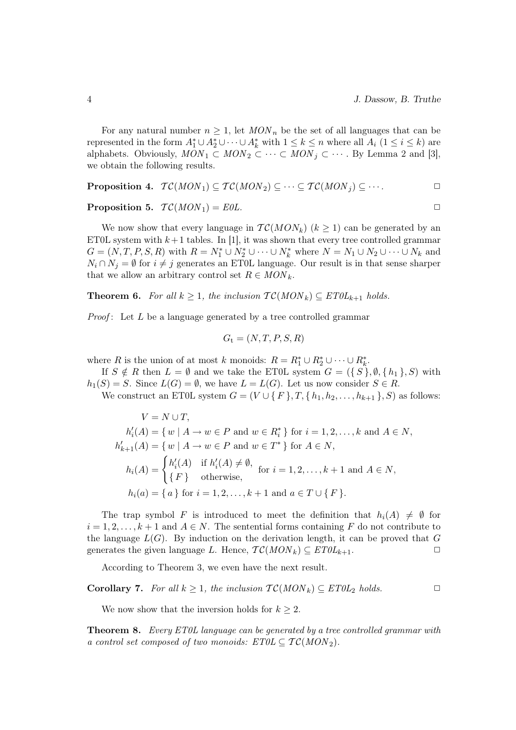For any natural number  $n \geq 1$ , let  $MON_n$  be the set of all languages that can be represented in the form  $A_1^* \cup A_2^* \cup \cdots \cup A_k^*$  with  $1 \leq k \leq n$  where all  $A_i$   $(1 \leq i \leq k)$  are alphabets. Obviously,  $MON_1 \subset MON_2 \subset \cdots \subset MON_j \subset \cdots$ . By Lemma 2 and [3], we obtain the following results.

**Proposition 4.** 
$$
\mathcal{TC}(MON_1) \subseteq \mathcal{TC}(MON_2) \subseteq \cdots \subseteq \mathcal{TC}(MON_j) \subseteq \cdots
$$

**Proposition 5.**  $TC(MON_1) = E0L$ .

We now show that every language in  $TC(MON_k)$   $(k \geq 1)$  can be generated by an ET0L system with  $k+1$  tables. In [1], it was shown that every tree controlled grammar  $G = (N, T, P, S, R)$  with  $R = N_1^* \cup N_2^* \cup \cdots \cup N_k^*$  where  $N = N_1 \cup N_2 \cup \cdots \cup N_k$  and  $N_i \cap N_j = \emptyset$  for  $i \neq j$  generates an ET0L language. Our result is in that sense sharper that we allow an arbitrary control set  $R \in MON_k$ .

**Theorem 6.** For all  $k \geq 1$ , the inclusion  $TC(MON_k) \subseteq ETOL_{k+1}$  holds.

*Proof*: Let  $L$  be a language generated by a tree controlled grammar

$$
G_{\rm t} = (N, T, P, S, R)
$$

where R is the union of at most k monoids:  $R = R_1^* \cup R_2^* \cup \cdots \cup R_k^*$ .

If  $S \notin R$  then  $L = \emptyset$  and we take the ET0L system  $G = (\{S\}, \emptyset, \{h_1\}, S)$  with  $h_1(S) = S$ . Since  $L(G) = \emptyset$ , we have  $L = L(G)$ . Let us now consider  $S \in R$ .

We construct an ET0L system  $G = (V \cup \{F\}, T, \{h_1, h_2, \ldots, h_{k+1}\}, S)$  as follows:

$$
V = N \cup T,
$$
  
\n
$$
h'_{i}(A) = \{ w \mid A \to w \in P \text{ and } w \in R_{i}^{*} \} \text{ for } i = 1, 2, ..., k \text{ and } A \in N,
$$
  
\n
$$
h'_{k+1}(A) = \{ w \mid A \to w \in P \text{ and } w \in T^{*} \} \text{ for } A \in N,
$$
  
\n
$$
h_{i}(A) = \begin{cases} h'_{i}(A) & \text{if } h'_{i}(A) \neq \emptyset, \\ \{ F \} & \text{otherwise,} \end{cases} \text{ for } i = 1, 2, ..., k+1 \text{ and } A \in N,
$$
  
\n
$$
h_{i}(a) = \{ a \} \text{ for } i = 1, 2, ..., k+1 \text{ and } a \in T \cup \{ F \}.
$$

The trap symbol F is introduced to meet the definition that  $h_i(A) \neq \emptyset$  for  $i = 1, 2, \ldots, k + 1$  and  $A \in N$ . The sentential forms containing F do not contribute to the language  $L(G)$ . By induction on the derivation length, it can be proved that G generates the given language L. Hence,  $\mathcal{TC}(MON_k) \subseteq ETOL_{k+1}$ .

According to Theorem 3, we even have the next result.

**Corollary 7.** For all 
$$
k \ge 1
$$
, the inclusion  $TC(MON_k) \subseteq ETOL_2$  holds.

We now show that the inversion holds for  $k \geq 2$ .

Theorem 8. Every ET0L language can be generated by a tree controlled grammar with a control set composed of two monoids:  $ET0L \subseteq T\mathcal{C}(MON_2)$ .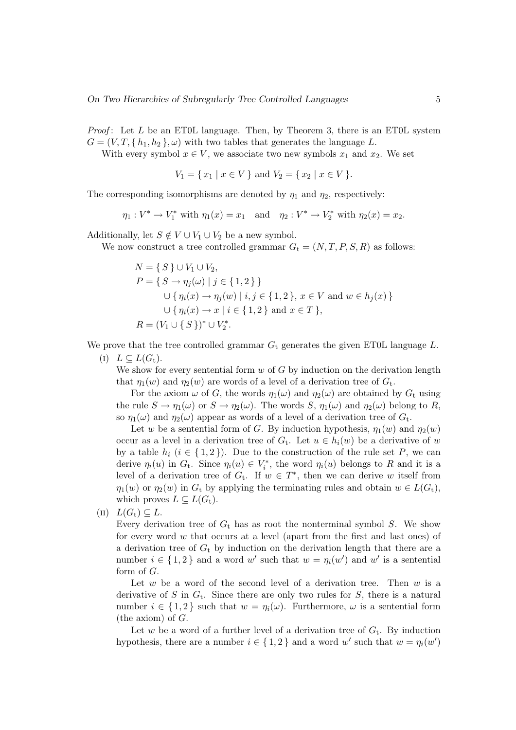*Proof*: Let L be an ET0L language. Then, by Theorem 3, there is an ET0L system  $G = (V, T, \{h_1, h_2\}, \omega)$  with two tables that generates the language L.

With every symbol  $x \in V$ , we associate two new symbols  $x_1$  and  $x_2$ . We set

$$
V_1 = \{ x_1 \mid x \in V \} \text{ and } V_2 = \{ x_2 \mid x \in V \}.
$$

The corresponding isomorphisms are denoted by  $\eta_1$  and  $\eta_2$ , respectively:

$$
\eta_1: V^* \to V_1^*
$$
 with  $\eta_1(x) = x_1$  and  $\eta_2: V^* \to V_2^*$  with  $\eta_2(x) = x_2$ .

Additionally, let  $S \notin V \cup V_1 \cup V_2$  be a new symbol.

We now construct a tree controlled grammar  $G_t = (N, T, P, S, R)$  as follows:

$$
N = \{ S \} \cup V_1 \cup V_2,
$$
  
\n
$$
P = \{ S \to \eta_j(\omega) \mid j \in \{ 1, 2 \} \}
$$
  
\n
$$
\cup \{ \eta_i(x) \to \eta_j(w) \mid i, j \in \{ 1, 2 \}, x \in V \text{ and } w \in h_j(x) \}
$$
  
\n
$$
\cup \{ \eta_i(x) \to x \mid i \in \{ 1, 2 \} \text{ and } x \in T \},
$$
  
\n
$$
R = (V_1 \cup \{ S \})^* \cup V_2^*.
$$

We prove that the tree controlled grammar  $G_t$  generates the given ET0L language L.

(I)  $L \subset L(G_t)$ .

We show for every sentential form  $w$  of  $G$  by induction on the derivation length that  $\eta_1(w)$  and  $\eta_2(w)$  are words of a level of a derivation tree of  $G_t$ .

For the axiom  $\omega$  of G, the words  $\eta_1(\omega)$  and  $\eta_2(\omega)$  are obtained by  $G_t$  using the rule  $S \to \eta_1(\omega)$  or  $S \to \eta_2(\omega)$ . The words  $S, \eta_1(\omega)$  and  $\eta_2(\omega)$  belong to R, so  $\eta_1(\omega)$  and  $\eta_2(\omega)$  appear as words of a level of a derivation tree of  $G_t$ .

Let w be a sentential form of G. By induction hypothesis,  $\eta_1(w)$  and  $\eta_2(w)$ occur as a level in a derivation tree of  $G_t$ . Let  $u \in h_i(w)$  be a derivative of w by a table  $h_i$   $(i \in \{1,2\})$ . Due to the construction of the rule set P, we can derive  $\eta_i(u)$  in  $G_t$ . Since  $\eta_i(u) \in V_i^*$ , the word  $\eta_i(u)$  belongs to R and it is a level of a derivation tree of  $G_t$ . If  $w \in T^*$ , then we can derive w itself from  $\eta_1(w)$  or  $\eta_2(w)$  in  $G_t$  by applying the terminating rules and obtain  $w \in L(G_t)$ , which proves  $L \subseteq L(G_t)$ .

(II)  $L(G_t) \subset L$ .

Every derivation tree of  $G_t$  has as root the nonterminal symbol S. We show for every word w that occurs at a level (apart from the first and last ones) of a derivation tree of  $G_t$  by induction on the derivation length that there are a number  $i \in \{1,2\}$  and a word w' such that  $w = \eta_i(w')$  and w' is a sentential form of G.

Let  $w$  be a word of the second level of a derivation tree. Then  $w$  is a derivative of S in  $G_t$ . Since there are only two rules for S, there is a natural number  $i \in \{1,2\}$  such that  $w = \eta_i(\omega)$ . Furthermore,  $\omega$  is a sentential form (the axiom) of  $G$ .

Let w be a word of a further level of a derivation tree of  $G_t$ . By induction hypothesis, there are a number  $i \in \{1,2\}$  and a word w' such that  $w = \eta_i(w')$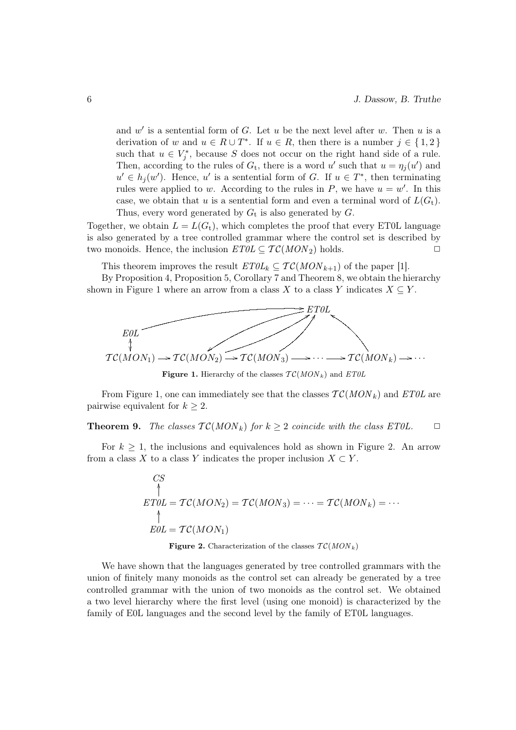and  $w'$  is a sentential form of G. Let  $u$  be the next level after  $w$ . Then  $u$  is a derivation of w and  $u \in R \cup T^*$ . If  $u \in R$ , then there is a number  $j \in \{1,2\}$ such that  $u \in V_j^*$ , because S does not occur on the right hand side of a rule. Then, according to the rules of  $G_t$ , there is a word u' such that  $u = \eta_j(u')$  and  $u' \in h_j(w')$ . Hence, u' is a sentential form of G. If  $u \in T^*$ , then terminating rules were applied to w. According to the rules in P, we have  $u = w'$ . In this case, we obtain that u is a sentential form and even a terminal word of  $L(G_t)$ . Thus, every word generated by  $G_t$  is also generated by  $G$ .

Together, we obtain  $L = L(G_t)$ , which completes the proof that every ET0L language is also generated by a tree controlled grammar where the control set is described by two monoids. Hence, the inclusion  $ETOL \subseteq TC(MON_2)$  holds.

This theorem improves the result  $ETOL_k \subseteq TC(MON_{k+1})$  of the paper [1].

By Proposition 4, Proposition 5, Corollary 7 and Theorem 8, we obtain the hierarchy shown in Figure 1 where an arrow from a class X to a class Y indicates  $X \subseteq Y$ .



Figure 1. Hierarchy of the classes  $TC(MON_k)$  and  $ET0L$ 

From Figure 1, one can immediately see that the classes  $TC(MON<sub>k</sub>)$  and  $ETOL$  are pairwise equivalent for  $k > 2$ .

# **Theorem 9.** The classes  $TC(MON_k)$  for  $k \geq 2$  coincide with the class ET0L.  $\Box$

For  $k \geq 1$ , the inclusions and equivalences hold as shown in Figure 2. An arrow from a class X to a class Y indicates the proper inclusion  $X \subset Y$ .

$$
CS\n\uparrowET0L = TC(MON2) = TC(MON3) = \dots = TC(MONk) = \dots\n\uparrowEOL = TC(MON1)
$$

Figure 2. Characterization of the classes  $TC(MON_k)$ 

We have shown that the languages generated by tree controlled grammars with the union of finitely many monoids as the control set can already be generated by a tree controlled grammar with the union of two monoids as the control set. We obtained a two level hierarchy where the first level (using one monoid) is characterized by the family of E0L languages and the second level by the family of ET0L languages.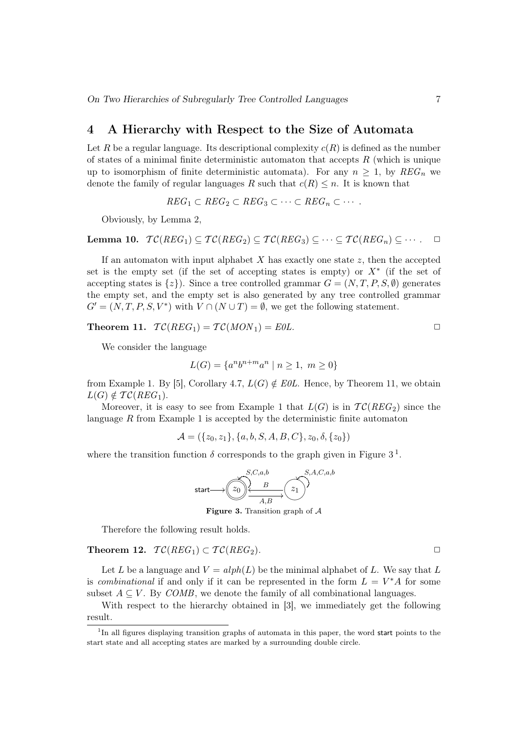# 4 A Hierarchy with Respect to the Size of Automata

Let R be a regular language. Its descriptional complexity  $c(R)$  is defined as the number of states of a minimal finite deterministic automaton that accepts  $R$  (which is unique up to isomorphism of finite deterministic automata). For any  $n \geq 1$ , by  $REG_n$  we denote the family of regular languages R such that  $c(R) \leq n$ . It is known that

$$
REG_1 \subset REG_2 \subset REG_3 \subset \cdots \subset REG_n \subset \cdots
$$

Obviously, by Lemma 2,

Lemma 10.  $\mathcal{TC}(REG_1) \subset \mathcal{TC}(REG_2) \subset \mathcal{TC}(REG_3) \subset \cdots \subset \mathcal{TC}(REG_n) \subset \cdots$ .  $\Box$ 

If an automaton with input alphabet  $X$  has exactly one state  $z$ , then the accepted set is the empty set (if the set of accepting states is empty) or  $X^*$  (if the set of accepting states is  $\{z\}$ . Since a tree controlled grammar  $G = (N, T, P, S, \emptyset)$  generates the empty set, and the empty set is also generated by any tree controlled grammar  $G' = (N, T, P, S, V^*)$  with  $V \cap (N \cup T) = \emptyset$ , we get the following statement.

Theorem 11.  $TC(REG_1) = TC(MON_1) = EOL$ .

We consider the language

$$
L(G) = \{a^n b^{n+m} a^n \mid n \ge 1, \ m \ge 0\}
$$

from Example 1. By [5], Corollary 4.7,  $L(G) \notin E0L$ . Hence, by Theorem 11, we obtain  $L(G) \notin \mathcal{TC}(REG_1).$ 

Moreover, it is easy to see from Example 1 that  $L(G)$  is in  $TC(REG_2)$  since the language  $R$  from Example 1 is accepted by the deterministic finite automaton

 $\mathcal{A} = (\{z_0, z_1\}, \{a, b, S, A, B, C\}, z_0, \delta, \{z_0\})$ 

where the transition function  $\delta$  corresponds to the graph given in Figure 3<sup>1</sup>.



**Figure 3.** Transition graph of  $\mathcal A$ 

Therefore the following result holds.

Theorem 12.  $TC(REG_1) \subset TC(REG_2)$ .

Let L be a language and  $V = alph(L)$  be the minimal alphabet of L. We say that L is *combinational* if and only if it can be represented in the form  $L = V^*A$  for some subset  $A \subseteq V$ . By *COMB*, we denote the family of all combinational languages.

With respect to the hierarchy obtained in [3], we immediately get the following result.

<sup>&</sup>lt;sup>1</sup>In all figures displaying transition graphs of automata in this paper, the word start points to the start state and all accepting states are marked by a surrounding double circle.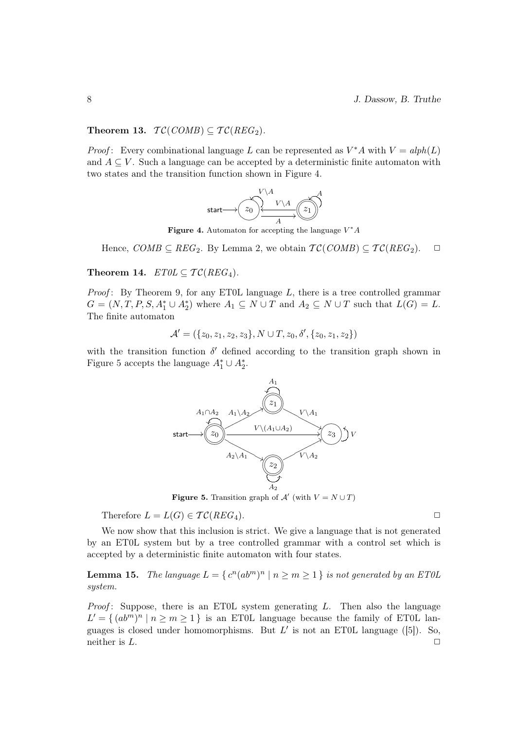8 J. Dassow, B. Truthe

#### Theorem 13.  $TC(COMB) \subseteq TC(REG_2)$ .

*Proof*: Every combinational language L can be represented as  $V^*A$  with  $V = alph(L)$ and  $A \subseteq V$ . Such a language can be accepted by a deterministic finite automaton with two states and the transition function shown in Figure 4.



Figure 4. Automaton for accepting the language  $V^*A$ 

Hence,  $COMB \subseteq REG_2$ . By Lemma 2, we obtain  $TC(COMB) \subseteq TC(REG_2)$ .  $\Box$ 

Theorem 14.  $ETOL \subseteq TC(REG_4)$ .

*Proof*: By Theorem 9, for any ET0L language  $L$ , there is a tree controlled grammar  $G = (N, T, P, S, A_1^* \cup A_2^*)$  where  $A_1 \subseteq N \cup T$  and  $A_2 \subseteq N \cup T$  such that  $L(G) = L$ . The finite automaton

$$
\mathcal{A}' = (\{z_0, z_1, z_2, z_3\}, N \cup T, z_0, \delta', \{z_0, z_1, z_2\})
$$

with the transition function  $\delta'$  defined according to the transition graph shown in Figure 5 accepts the language  $A_1^* \cup A_2^*$ .



**Figure 5.** Transition graph of  $\mathcal{A}'$  (with  $V = N \cup T$ )

Therefore  $L = L(G) \in \mathcal{TC}(REG_4)$ .

We now show that this inclusion is strict. We give a language that is not generated by an ET0L system but by a tree controlled grammar with a control set which is accepted by a deterministic finite automaton with four states.

**Lemma 15.** The language  $L = \{ c^n (ab^m)^n \mid n \geq m \geq 1 \}$  is not generated by an ETOL system.

*Proof*: Suppose, there is an ET0L system generating  $L$ . Then also the language  $L' = \{ (ab^m)^n | n \ge m \ge 1 \}$  is an ET0L language because the family of ET0L languages is closed under homomorphisms. But  $L'$  is not an ET0L language ([5]). So, neither is  $L$ .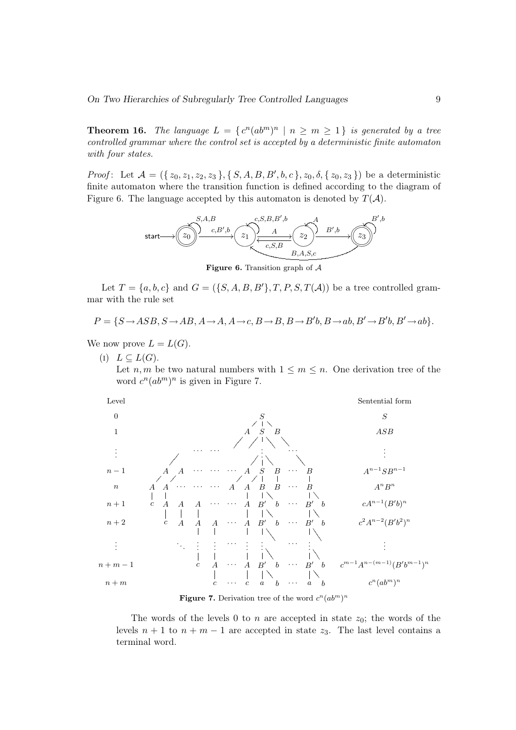**Theorem 16.** The language  $L = \{c^n(ab^m)^n | n \ge m \ge 1\}$  is generated by a tree controlled grammar where the control set is accepted by a deterministic finite automaton with four states.

*Proof*: Let  $A = (\{z_0, z_1, z_2, z_3\}, \{S, A, B, B', b, c\}, z_0, \delta, \{z_0, z_3\})$  be a deterministic finite automaton where the transition function is defined according to the diagram of Figure 6. The language accepted by this automaton is denoted by  $T(A)$ .



Figure 6. Transition graph of  $A$ 

Let  $T = \{a, b, c\}$  and  $G = (\{S, A, B, B'\}, T, P, S, T(\mathcal{A}))$  be a tree controlled grammar with the rule set

$$
P = \{S \rightarrow ASB, S \rightarrow AB, A \rightarrow A, A \rightarrow c, B \rightarrow B, B \rightarrow B'b, B \rightarrow ab, B' \rightarrow B'b, B' \rightarrow ab\}.
$$

We now prove  $L = L(G)$ .

 $(I) L \subset L(G)$ .

Let  $n, m$  be two natural numbers with  $1 \leq m \leq n$ . One derivation tree of the word  $c^n(ab^m)^n$  is given in Figure 7.



Figure 7. Derivation tree of the word  $c^n(ab^m)^n$ 

The words of the levels 0 to n are accepted in state  $z_0$ ; the words of the levels  $n + 1$  to  $n + m - 1$  are accepted in state  $z_3$ . The last level contains a terminal word.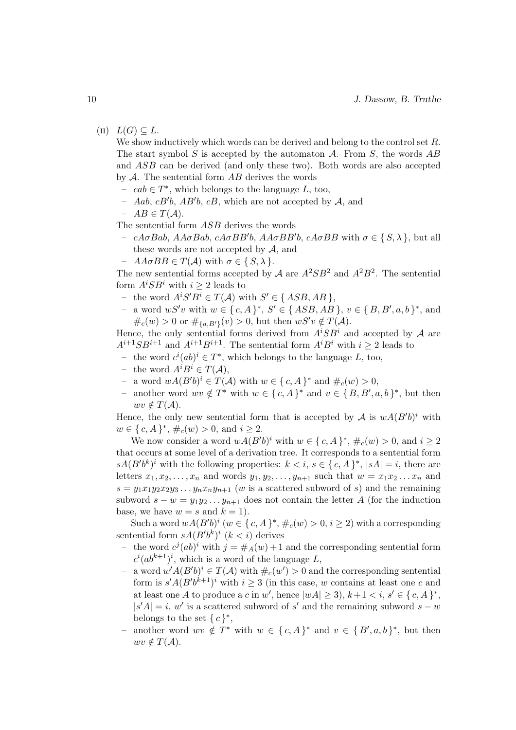$(L) \ L(G) \subset L$ .

We show inductively which words can be derived and belong to the control set  $R$ . The start symbol S is accepted by the automaton  $A$ . From S, the words  $AB$ and ASB can be derived (and only these two). Both words are also accepted by  $A$ . The sentential form  $AB$  derives the words

- −  $cab \in T^*$ , which belongs to the language L, too,
- Aab,  $cB'b$ , AB'b,  $cB$ , which are not accepted by A, and
- $AB \in T(A)$ .

The sentential form ASB derives the words

- cAσBab, AAσBab, cAσBB'b, AAσBB'b, cAσBB with σ ∈ {S, λ }, but all these words are not accepted by  $A$ , and
- $A\mathcal{A}\sigma BB \in T(\mathcal{A})$  with  $\sigma \in \{S, \lambda\}.$

The new sentential forms accepted by A are  $A^2SB^2$  and  $A^2B^2$ . The sentential form  $A^iSB^i$  with  $i \geq 2$  leads to

- the word  $A^i S' B^i \in T(A)$  with  $S' \in \{ASB, AB\},\$
- a word  $wS'v$  with  $w \in \{c, A\}^*, S' \in \{ASB, AB\}, v \in \{B, B', a, b\}^*,$  and  $\#_c(w) > 0$  or  $\#_{\{a,B'\}}(v) > 0$ , but then  $wS'v \notin T(A)$ .

Hence, the only sentential forms derived from  $A^{i}SB^{i}$  and accepted by A are  $A^{i+1}SB^{i+1}$  and  $A^{i+1}B^{i+1}$ . The sentential form  $A^iB^i$  with  $i \geq 2$  leads to

- − the word  $c^i(ab)^i \in T^*$ , which belongs to the language L, too,
- the word  $A^i B^i \in T(A)$ ,
- − a word  $wA(B'b)^i \in T(A)$  with  $w \in \{c, A\}^*$  and  $\#_c(w) > 0$ ,
- another word  $wv \notin T^*$  with  $w \in \{c, A\}^*$  and  $v \in \{B, B', a, b\}^*$ , but then  $wv \notin T(A)$ .

Hence, the only new sentential form that is accepted by A is  $wA(B'b)^i$  with  $w \in \{c, A\}^*, \#_c(w) > 0$ , and  $i \geq 2$ .

We now consider a word  $wA(B'b)^i$  with  $w \in \{c, A\}^*, \#_c(w) > 0$ , and  $i \geq 2$ that occurs at some level of a derivation tree. It corresponds to a sentential form  $sA(B'b^k)^i$  with the following properties:  $k < i, s \in \{c, A\}^*, |sA|=i$ , there are letters  $x_1, x_2, \ldots, x_n$  and words  $y_1, y_2, \ldots, y_{n+1}$  such that  $w = x_1 x_2 \ldots x_n$  and  $s = y_1x_1y_2x_2y_3...y_nx_ny_{n+1}$  (w is a scattered subword of s) and the remaining subword  $s - w = y_1 y_2 ... y_{n+1}$  does not contain the letter A (for the induction base, we have  $w = s$  and  $k = 1$ .

Such a word  $wA(B'b)^i$   $(w \in \{c, A\}^*, \#_c(w) > 0, i \geq 2)$  with a corresponding sentential form  $sA(B'b^k)^i$   $(k < i)$  derives

- the word  $c^{j}(ab)^{i}$  with  $j = \#_A(w) + 1$  and the corresponding sentential form  $c^i(ab^{k+1})^i$ , which is a word of the language L,
- a word  $w' A (B' b)^i \in T(A)$  with  $\#_c(w') > 0$  and the corresponding sentential form is  $s' A (B' b^{k+1})^i$  with  $i \geq 3$  (in this case, w contains at least one c and at least one A to produce a c in w', hence  $|wA| \geq 3$ ,  $k+1 < i$ ,  $s' \in \{c, A\}^*$ ,  $|s'A| = i, w'$  is a scattered subword of s' and the remaining subword  $s - w$ belongs to the set  $\{c\}^*,$
- another word  $wv \notin T^*$  with  $w \in \{c, A\}^*$  and  $v \in \{B', a, b\}^*$ , but then  $wv \notin T(A)$ .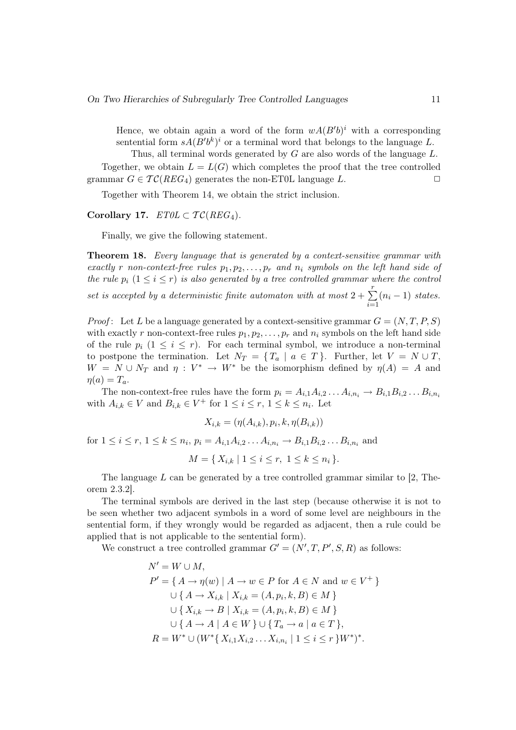Hence, we obtain again a word of the form  $wA(B'b)^i$  with a corresponding sentential form  $sA(B'b^k)^i$  or a terminal word that belongs to the language L.

Thus, all terminal words generated by  $G$  are also words of the language  $L$ . Together, we obtain  $L = L(G)$  which completes the proof that the tree controlled grammar  $G \in \mathcal{TC}(REG_4)$  generates the non-ET0L language L.

Together with Theorem 14, we obtain the strict inclusion.

Corollary 17.  $ET0L \subset TC(REG_4)$ .

Finally, we give the following statement.

**Theorem 18.** Every language that is generated by a context-sensitive grammar with exactly r non-context-free rules  $p_1, p_2, \ldots, p_r$  and  $n_i$  symbols on the left hand side of the rule  $p_i$   $(1 \leq i \leq r)$  is also generated by a tree controlled grammar where the control

set is accepted by a deterministic finite automaton with at most  $2 + \sum_{i=1}^{r}$  $i=1$  $(n_i - 1)$  states.

*Proof*: Let L be a language generated by a context-sensitive grammar  $G = (N, T, P, S)$ with exactly r non-context-free rules  $p_1, p_2, \ldots, p_r$  and  $n_i$  symbols on the left hand side of the rule  $p_i$   $(1 \leq i \leq r)$ . For each terminal symbol, we introduce a non-terminal to postpone the termination. Let  $N_T = \{T_a \mid a \in T\}$ . Further, let  $V = N \cup T$ ,  $W = N \cup N_T$  and  $\eta : V^* \to W^*$  be the isomorphism defined by  $\eta(A) = A$  and  $\eta(a)=T_a.$ 

The non-context-free rules have the form  $p_i = A_{i,1}A_{i,2} \ldots A_{i,n_i} \rightarrow B_{i,1}B_{i,2} \ldots B_{i,n_i}$ with  $A_{i,k} \in V$  and  $B_{i,k} \in V^+$  for  $1 \leq i \leq r, 1 \leq k \leq n_i$ . Let

$$
X_{i,k} = (\eta(A_{i,k}), p_i, k, \eta(B_{i,k}))
$$
  
for  $1 \le i \le r, 1 \le k \le n_i, p_i = A_{i,1}A_{i,2}...A_{i,n_i} \to B_{i,1}B_{i,2}...B_{i,n_i}$  and  

$$
M = \{ X_{i,k} \mid 1 \le i \le r, 1 \le k \le n_i \}.
$$

The language  $L$  can be generated by a tree controlled grammar similar to [2, Theorem 2.3.2].

The terminal symbols are derived in the last step (because otherwise it is not to be seen whether two adjacent symbols in a word of some level are neighbours in the sentential form, if they wrongly would be regarded as adjacent, then a rule could be applied that is not applicable to the sentential form).

We construct a tree controlled grammar  $G' = (N', T, P', S, R)$  as follows:

$$
N' = W \cup M,
$$
  
\n
$$
P' = \{ A \rightarrow \eta(w) \mid A \rightarrow w \in P \text{ for } A \in N \text{ and } w \in V^+ \}
$$
  
\n
$$
\cup \{ A \rightarrow X_{i,k} \mid X_{i,k} = (A, p_i, k, B) \in M \}
$$
  
\n
$$
\cup \{ X_{i,k} \rightarrow B \mid X_{i,k} = (A, p_i, k, B) \in M \}
$$
  
\n
$$
\cup \{ A \rightarrow A \mid A \in W \} \cup \{ T_a \rightarrow a \mid a \in T \},
$$
  
\n
$$
R = W^* \cup (W^* \{ X_{i,1} X_{i,2} \dots X_{i,n_i} \mid 1 \le i \le r \} W^*)^*.
$$